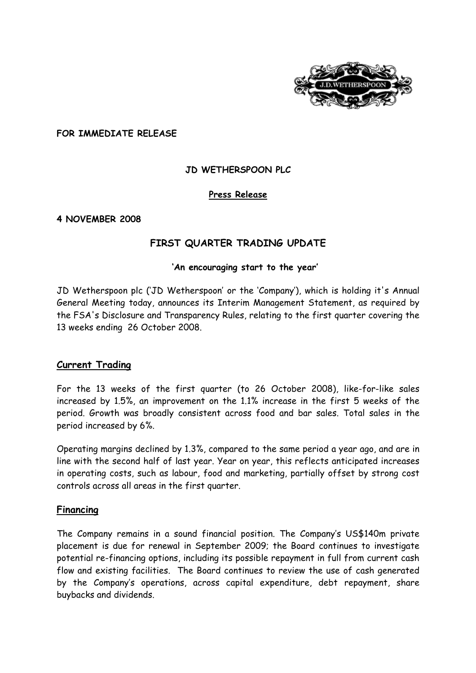

**FOR IMMEDIATE RELEASE** 

# **JD WETHERSPOON PLC**

# **Press Release**

#### **4 NOVEMBER 2008**

# **FIRST QUARTER TRADING UPDATE**

#### **'An encouraging start to the year'**

[JD Wetherspoon plc](javascript:void(0);) ('[JD Wetherspoon](javascript:void(0);)' or the 'Company'), which is holding it's Annual General Meeting today, announces its Interim Management Statement, as required by the FSA's Disclosure and Transparency Rules, relating to the first quarter covering the 13 weeks ending 26 October 2008.

#### **Current Trading**

For the 13 weeks of the first quarter (to 26 October 2008), like-for-like sales increased by 1.5%, an improvement on the 1.1% increase in the first 5 weeks of the period. Growth was broadly consistent across food and bar sales. Total sales in the period increased by 6%.

Operating margins declined by 1.3%, compared to the same period a year ago, and are in line with the second half of last year. Year on year, this reflects anticipated increases in operating costs, such as labour, food and marketing, partially offset by strong cost controls across all areas in the first quarter.

#### **Financing**

The Company remains in a sound financial position. The Company's US\$140m private placement is due for renewal in September 2009; the Board continues to investigate potential re-financing options, including its possible repayment in full from current cash flow and existing facilities. The Board continues to review the use of cash generated by the Company's operations, across capital expenditure, debt repayment, share buybacks and dividends.